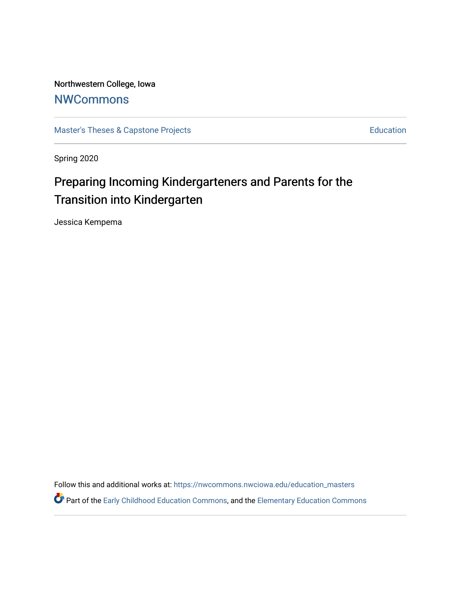Northwestern College, Iowa **[NWCommons](https://nwcommons.nwciowa.edu/)** 

[Master's Theses & Capstone Projects](https://nwcommons.nwciowa.edu/education_masters) **Education** Education

Spring 2020

# Preparing Incoming Kindergarteners and Parents for the Transition into Kindergarten

Jessica Kempema

Follow this and additional works at: [https://nwcommons.nwciowa.edu/education\\_masters](https://nwcommons.nwciowa.edu/education_masters?utm_source=nwcommons.nwciowa.edu%2Feducation_masters%2F212&utm_medium=PDF&utm_campaign=PDFCoverPages)

Part of the [Early Childhood Education Commons,](http://network.bepress.com/hgg/discipline/1377?utm_source=nwcommons.nwciowa.edu%2Feducation_masters%2F212&utm_medium=PDF&utm_campaign=PDFCoverPages) and the [Elementary Education Commons](http://network.bepress.com/hgg/discipline/1378?utm_source=nwcommons.nwciowa.edu%2Feducation_masters%2F212&utm_medium=PDF&utm_campaign=PDFCoverPages)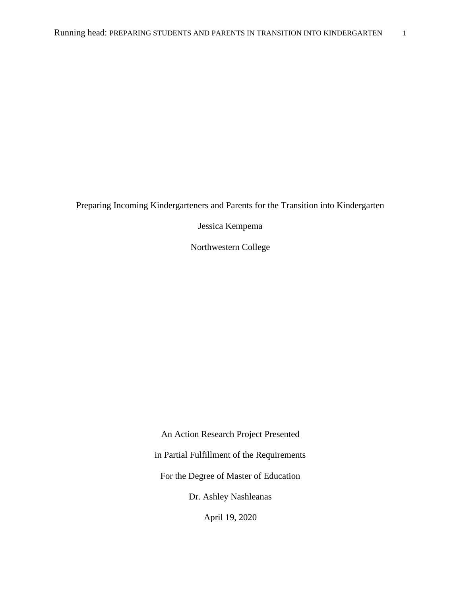Preparing Incoming Kindergarteners and Parents for the Transition into Kindergarten

Jessica Kempema

Northwestern College

An Action Research Project Presented in Partial Fulfillment of the Requirements For the Degree of Master of Education Dr. Ashley Nashleanas

April 19, 2020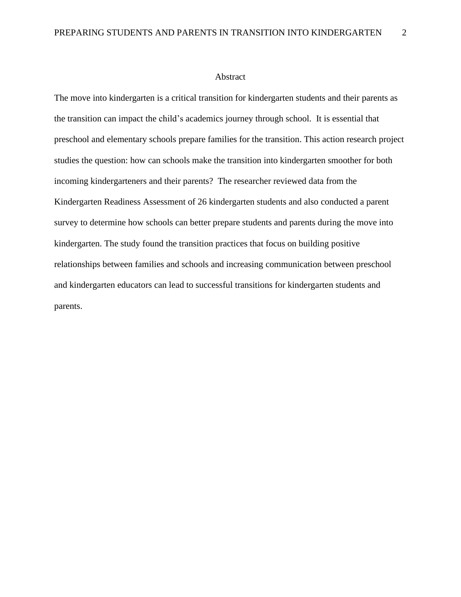#### Abstract

The move into kindergarten is a critical transition for kindergarten students and their parents as the transition can impact the child's academics journey through school. It is essential that preschool and elementary schools prepare families for the transition. This action research project studies the question: how can schools make the transition into kindergarten smoother for both incoming kindergarteners and their parents? The researcher reviewed data from the Kindergarten Readiness Assessment of 26 kindergarten students and also conducted a parent survey to determine how schools can better prepare students and parents during the move into kindergarten. The study found the transition practices that focus on building positive relationships between families and schools and increasing communication between preschool and kindergarten educators can lead to successful transitions for kindergarten students and parents.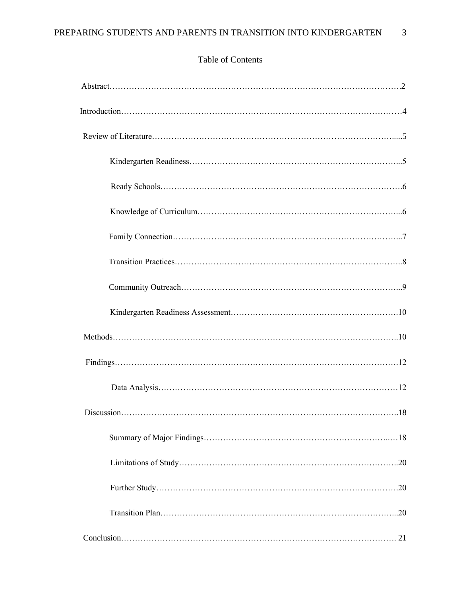| .18 |
|-----|
|     |
|     |
|     |
|     |
|     |

# Table of Contents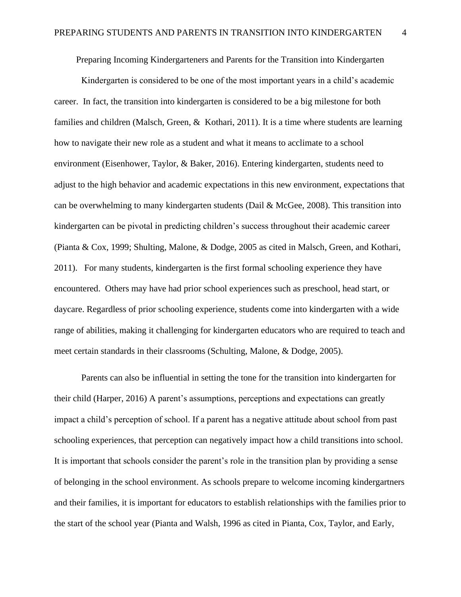Preparing Incoming Kindergarteners and Parents for the Transition into Kindergarten

Kindergarten is considered to be one of the most important years in a child's academic career. In fact, the transition into kindergarten is considered to be a big milestone for both families and children (Malsch, Green, & Kothari, 2011). It is a time where students are learning how to navigate their new role as a student and what it means to acclimate to a school environment (Eisenhower, Taylor, & Baker, 2016). Entering kindergarten, students need to adjust to the high behavior and academic expectations in this new environment, expectations that can be overwhelming to many kindergarten students (Dail & McGee, 2008). This transition into kindergarten can be pivotal in predicting children's success throughout their academic career (Pianta & Cox, 1999; Shulting, Malone, & Dodge, 2005 as cited in Malsch, Green, and Kothari, 2011). For many students, kindergarten is the first formal schooling experience they have encountered. Others may have had prior school experiences such as preschool, head start, or daycare. Regardless of prior schooling experience, students come into kindergarten with a wide range of abilities, making it challenging for kindergarten educators who are required to teach and meet certain standards in their classrooms (Schulting, Malone, & Dodge, 2005).

Parents can also be influential in setting the tone for the transition into kindergarten for their child (Harper, 2016) A parent's assumptions, perceptions and expectations can greatly impact a child's perception of school. If a parent has a negative attitude about school from past schooling experiences, that perception can negatively impact how a child transitions into school. It is important that schools consider the parent's role in the transition plan by providing a sense of belonging in the school environment. As schools prepare to welcome incoming kindergartners and their families, it is important for educators to establish relationships with the families prior to the start of the school year (Pianta and Walsh, 1996 as cited in Pianta, Cox, Taylor, and Early,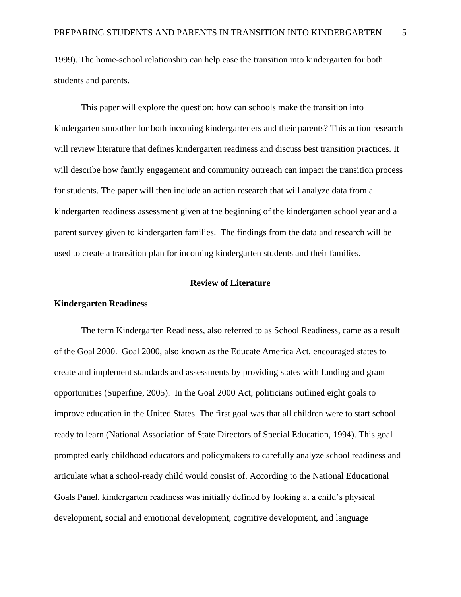1999). The home-school relationship can help ease the transition into kindergarten for both students and parents.

This paper will explore the question: how can schools make the transition into kindergarten smoother for both incoming kindergarteners and their parents? This action research will review literature that defines kindergarten readiness and discuss best transition practices. It will describe how family engagement and community outreach can impact the transition process for students. The paper will then include an action research that will analyze data from a kindergarten readiness assessment given at the beginning of the kindergarten school year and a parent survey given to kindergarten families. The findings from the data and research will be used to create a transition plan for incoming kindergarten students and their families.

# **Review of Literature**

# **Kindergarten Readiness**

The term Kindergarten Readiness, also referred to as School Readiness, came as a result of the Goal 2000. Goal 2000, also known as the Educate America Act, encouraged states to create and implement standards and assessments by providing states with funding and grant opportunities (Superfine, 2005). In the Goal 2000 Act, politicians outlined eight goals to improve education in the United States. The first goal was that all children were to start school ready to learn (National Association of State Directors of Special Education, 1994). This goal prompted early childhood educators and policymakers to carefully analyze school readiness and articulate what a school-ready child would consist of. According to the National Educational Goals Panel, kindergarten readiness was initially defined by looking at a child's physical development, social and emotional development, cognitive development, and language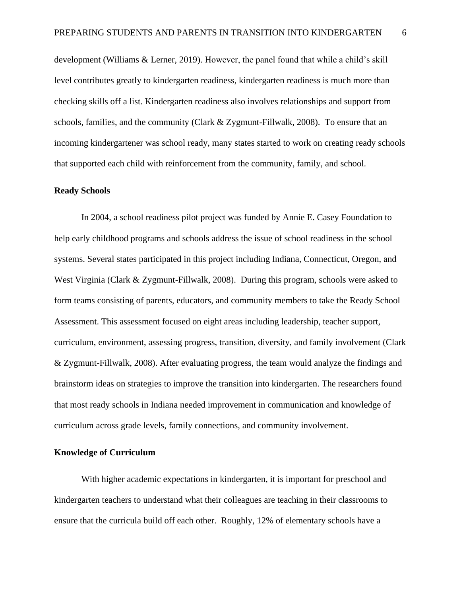development (Williams & Lerner, 2019). However, the panel found that while a child's skill level contributes greatly to kindergarten readiness, kindergarten readiness is much more than checking skills off a list. Kindergarten readiness also involves relationships and support from schools, families, and the community (Clark & Zygmunt-Fillwalk, 2008). To ensure that an incoming kindergartener was school ready, many states started to work on creating ready schools that supported each child with reinforcement from the community, family, and school.

#### **Ready Schools**

In 2004, a school readiness pilot project was funded by Annie E. Casey Foundation to help early childhood programs and schools address the issue of school readiness in the school systems. Several states participated in this project including Indiana, Connecticut, Oregon, and West Virginia (Clark & Zygmunt-Fillwalk, 2008). During this program, schools were asked to form teams consisting of parents, educators, and community members to take the Ready School Assessment. This assessment focused on eight areas including leadership, teacher support, curriculum, environment, assessing progress, transition, diversity, and family involvement (Clark & Zygmunt-Fillwalk, 2008). After evaluating progress, the team would analyze the findings and brainstorm ideas on strategies to improve the transition into kindergarten. The researchers found that most ready schools in Indiana needed improvement in communication and knowledge of curriculum across grade levels, family connections, and community involvement.

## **Knowledge of Curriculum**

With higher academic expectations in kindergarten, it is important for preschool and kindergarten teachers to understand what their colleagues are teaching in their classrooms to ensure that the curricula build off each other. Roughly, 12% of elementary schools have a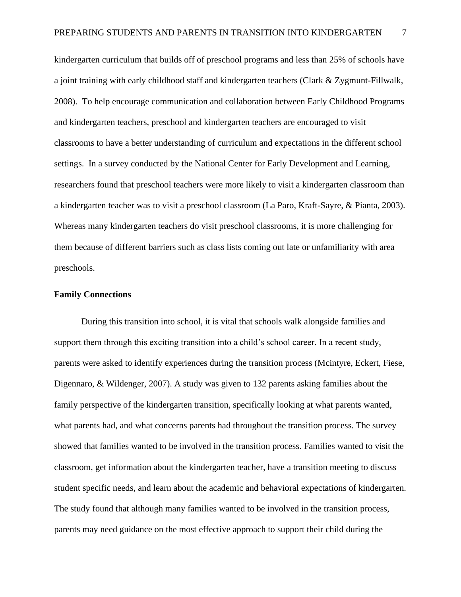kindergarten curriculum that builds off of preschool programs and less than 25% of schools have a joint training with early childhood staff and kindergarten teachers (Clark & Zygmunt-Fillwalk, 2008). To help encourage communication and collaboration between Early Childhood Programs and kindergarten teachers, preschool and kindergarten teachers are encouraged to visit classrooms to have a better understanding of curriculum and expectations in the different school settings. In a survey conducted by the National Center for Early Development and Learning, researchers found that preschool teachers were more likely to visit a kindergarten classroom than a kindergarten teacher was to visit a preschool classroom (La Paro, Kraft-Sayre, & Pianta, 2003). Whereas many kindergarten teachers do visit preschool classrooms, it is more challenging for them because of different barriers such as class lists coming out late or unfamiliarity with area preschools.

#### **Family Connections**

During this transition into school, it is vital that schools walk alongside families and support them through this exciting transition into a child's school career. In a recent study, parents were asked to identify experiences during the transition process (Mcintyre, Eckert, Fiese, Digennaro, & Wildenger, 2007). A study was given to 132 parents asking families about the family perspective of the kindergarten transition, specifically looking at what parents wanted, what parents had, and what concerns parents had throughout the transition process. The survey showed that families wanted to be involved in the transition process. Families wanted to visit the classroom, get information about the kindergarten teacher, have a transition meeting to discuss student specific needs, and learn about the academic and behavioral expectations of kindergarten. The study found that although many families wanted to be involved in the transition process, parents may need guidance on the most effective approach to support their child during the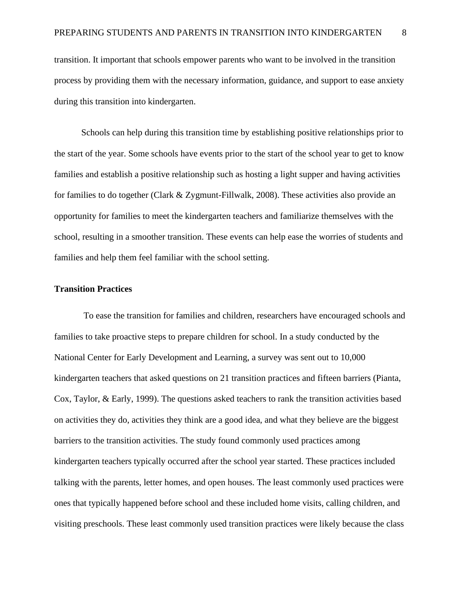transition. It important that schools empower parents who want to be involved in the transition process by providing them with the necessary information, guidance, and support to ease anxiety during this transition into kindergarten.

Schools can help during this transition time by establishing positive relationships prior to the start of the year. Some schools have events prior to the start of the school year to get to know families and establish a positive relationship such as hosting a light supper and having activities for families to do together (Clark & Zygmunt-Fillwalk, 2008). These activities also provide an opportunity for families to meet the kindergarten teachers and familiarize themselves with the school, resulting in a smoother transition. These events can help ease the worries of students and families and help them feel familiar with the school setting.

#### **Transition Practices**

To ease the transition for families and children, researchers have encouraged schools and families to take proactive steps to prepare children for school. In a study conducted by the National Center for Early Development and Learning, a survey was sent out to 10,000 kindergarten teachers that asked questions on 21 transition practices and fifteen barriers (Pianta, Cox, Taylor, & Early, 1999). The questions asked teachers to rank the transition activities based on activities they do, activities they think are a good idea, and what they believe are the biggest barriers to the transition activities. The study found commonly used practices among kindergarten teachers typically occurred after the school year started. These practices included talking with the parents, letter homes, and open houses. The least commonly used practices were ones that typically happened before school and these included home visits, calling children, and visiting preschools. These least commonly used transition practices were likely because the class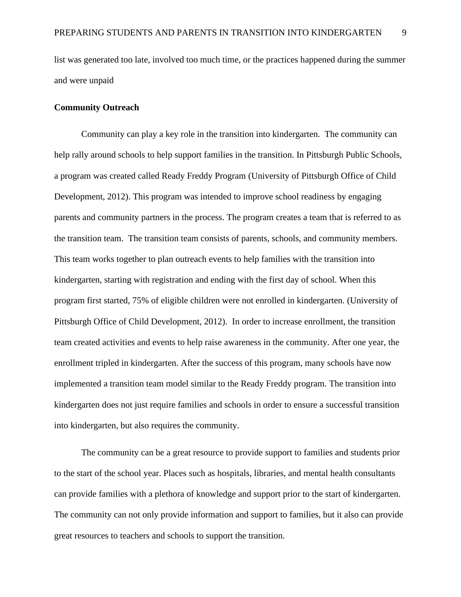list was generated too late, involved too much time, or the practices happened during the summer and were unpaid

# **Community Outreach**

Community can play a key role in the transition into kindergarten. The community can help rally around schools to help support families in the transition. In Pittsburgh Public Schools, a program was created called Ready Freddy Program (University of Pittsburgh Office of Child Development, 2012). This program was intended to improve school readiness by engaging parents and community partners in the process. The program creates a team that is referred to as the transition team. The transition team consists of parents, schools, and community members. This team works together to plan outreach events to help families with the transition into kindergarten, starting with registration and ending with the first day of school. When this program first started, 75% of eligible children were not enrolled in kindergarten. (University of Pittsburgh Office of Child Development, 2012). In order to increase enrollment, the transition team created activities and events to help raise awareness in the community. After one year, the enrollment tripled in kindergarten. After the success of this program, many schools have now implemented a transition team model similar to the Ready Freddy program. The transition into kindergarten does not just require families and schools in order to ensure a successful transition into kindergarten, but also requires the community.

The community can be a great resource to provide support to families and students prior to the start of the school year. Places such as hospitals, libraries, and mental health consultants can provide families with a plethora of knowledge and support prior to the start of kindergarten. The community can not only provide information and support to families, but it also can provide great resources to teachers and schools to support the transition.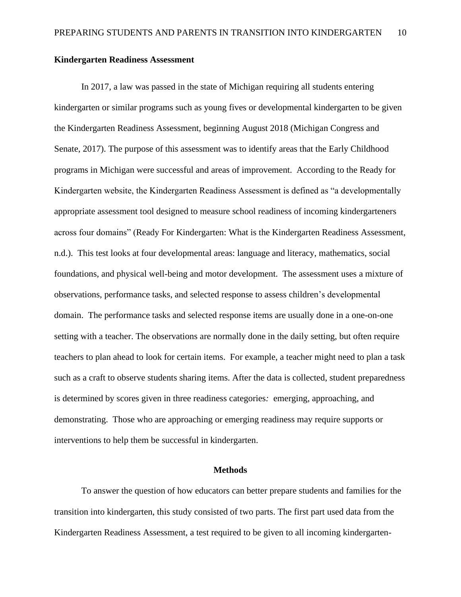## **Kindergarten Readiness Assessment**

In 2017, a law was passed in the state of Michigan requiring all students entering kindergarten or similar programs such as young fives or developmental kindergarten to be given the Kindergarten Readiness Assessment, beginning August 2018 (Michigan Congress and Senate, 2017). The purpose of this assessment was to identify areas that the Early Childhood programs in Michigan were successful and areas of improvement. According to the Ready for Kindergarten website, the Kindergarten Readiness Assessment is defined as "a developmentally appropriate assessment tool designed to measure school readiness of incoming kindergarteners across four domains" (Ready For Kindergarten: What is the Kindergarten Readiness Assessment, n.d.). This test looks at four developmental areas: language and literacy, mathematics, social foundations, and physical well-being and motor development. The assessment uses a mixture of observations, performance tasks, and selected response to assess children's developmental domain. The performance tasks and selected response items are usually done in a one-on-one setting with a teacher. The observations are normally done in the daily setting, but often require teachers to plan ahead to look for certain items. For example, a teacher might need to plan a task such as a craft to observe students sharing items. After the data is collected, student preparedness is determined by scores given in three readiness categories*:* emerging, approaching, and demonstrating. Those who are approaching or emerging readiness may require supports or interventions to help them be successful in kindergarten.

#### **Methods**

To answer the question of how educators can better prepare students and families for the transition into kindergarten, this study consisted of two parts. The first part used data from the Kindergarten Readiness Assessment, a test required to be given to all incoming kindergarten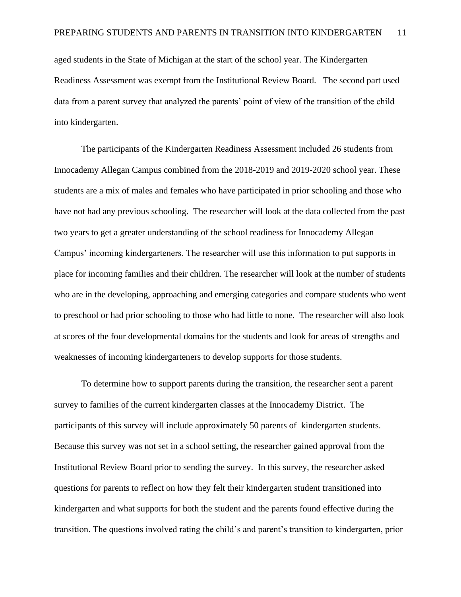aged students in the State of Michigan at the start of the school year. The Kindergarten Readiness Assessment was exempt from the Institutional Review Board. The second part used data from a parent survey that analyzed the parents' point of view of the transition of the child into kindergarten.

The participants of the Kindergarten Readiness Assessment included 26 students from Innocademy Allegan Campus combined from the 2018-2019 and 2019-2020 school year. These students are a mix of males and females who have participated in prior schooling and those who have not had any previous schooling. The researcher will look at the data collected from the past two years to get a greater understanding of the school readiness for Innocademy Allegan Campus' incoming kindergarteners. The researcher will use this information to put supports in place for incoming families and their children. The researcher will look at the number of students who are in the developing, approaching and emerging categories and compare students who went to preschool or had prior schooling to those who had little to none. The researcher will also look at scores of the four developmental domains for the students and look for areas of strengths and weaknesses of incoming kindergarteners to develop supports for those students.

To determine how to support parents during the transition, the researcher sent a parent survey to families of the current kindergarten classes at the Innocademy District. The participants of this survey will include approximately 50 parents of kindergarten students. Because this survey was not set in a school setting, the researcher gained approval from the Institutional Review Board prior to sending the survey. In this survey, the researcher asked questions for parents to reflect on how they felt their kindergarten student transitioned into kindergarten and what supports for both the student and the parents found effective during the transition. The questions involved rating the child's and parent's transition to kindergarten, prior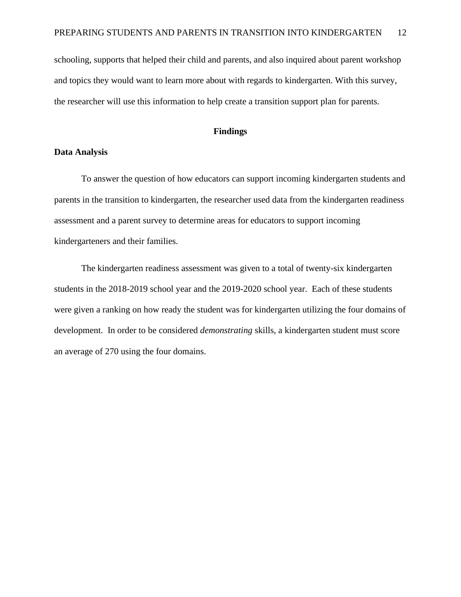schooling, supports that helped their child and parents, and also inquired about parent workshop and topics they would want to learn more about with regards to kindergarten. With this survey, the researcher will use this information to help create a transition support plan for parents.

#### **Findings**

#### **Data Analysis**

To answer the question of how educators can support incoming kindergarten students and parents in the transition to kindergarten, the researcher used data from the kindergarten readiness assessment and a parent survey to determine areas for educators to support incoming kindergarteners and their families.

The kindergarten readiness assessment was given to a total of twenty-six kindergarten students in the 2018-2019 school year and the 2019-2020 school year. Each of these students were given a ranking on how ready the student was for kindergarten utilizing the four domains of development. In order to be considered *demonstrating* skills, a kindergarten student must score an average of 270 using the four domains.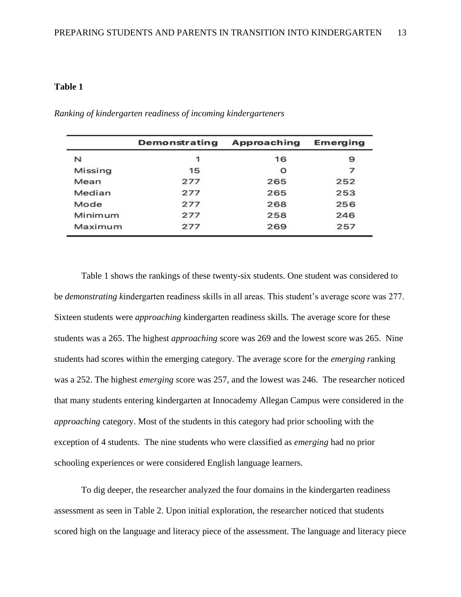|         | Demonstrating | Approaching | Emerging |
|---------|---------------|-------------|----------|
| N       | $\mathbf{1}$  | 16          | 9        |
| Missing | 15            | O           | フ        |
| Mean    | 277           | 265         | 252      |
| Median  | 277           | 265         | 253      |
| Mode    | 277           | 268         | 256      |
| Minimum | 277           | 258         | 246      |
| Maximum | 277           | 269         | 257      |

*Ranking of kindergarten readiness of incoming kindergarteners* 

Table 1 shows the rankings of these twenty-six students. One student was considered to be *demonstrating k*indergarten readiness skills in all areas. This student's average score was 277. Sixteen students were *approaching* kindergarten readiness skills. The average score for these students was a 265. The highest *approaching* score was 269 and the lowest score was 265. Nine students had scores within the emerging category. The average score for the *emerging r*anking was a 252. The highest *emerging s*core was 257, and the lowest was 246. The researcher noticed that many students entering kindergarten at Innocademy Allegan Campus were considered in the *approaching* category. Most of the students in this category had prior schooling with the exception of 4 students. The nine students who were classified as *emerging* had no prior schooling experiences or were considered English language learners.

To dig deeper, the researcher analyzed the four domains in the kindergarten readiness assessment as seen in Table 2. Upon initial exploration, the researcher noticed that students scored high on the language and literacy piece of the assessment. The language and literacy piece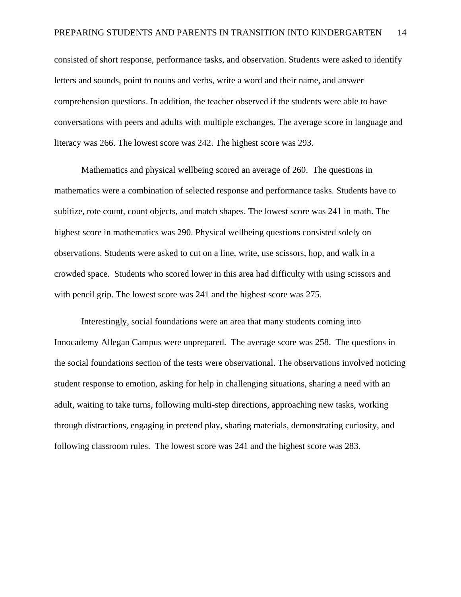consisted of short response, performance tasks, and observation. Students were asked to identify letters and sounds, point to nouns and verbs, write a word and their name, and answer comprehension questions. In addition, the teacher observed if the students were able to have conversations with peers and adults with multiple exchanges. The average score in language and literacy was 266. The lowest score was 242. The highest score was 293.

Mathematics and physical wellbeing scored an average of 260. The questions in mathematics were a combination of selected response and performance tasks. Students have to subitize, rote count, count objects, and match shapes. The lowest score was 241 in math. The highest score in mathematics was 290. Physical wellbeing questions consisted solely on observations. Students were asked to cut on a line, write, use scissors, hop, and walk in a crowded space. Students who scored lower in this area had difficulty with using scissors and with pencil grip. The lowest score was 241 and the highest score was 275.

Interestingly, social foundations were an area that many students coming into Innocademy Allegan Campus were unprepared. The average score was 258. The questions in the social foundations section of the tests were observational. The observations involved noticing student response to emotion, asking for help in challenging situations, sharing a need with an adult, waiting to take turns, following multi-step directions, approaching new tasks, working through distractions, engaging in pretend play, sharing materials, demonstrating curiosity, and following classroom rules. The lowest score was 241 and the highest score was 283.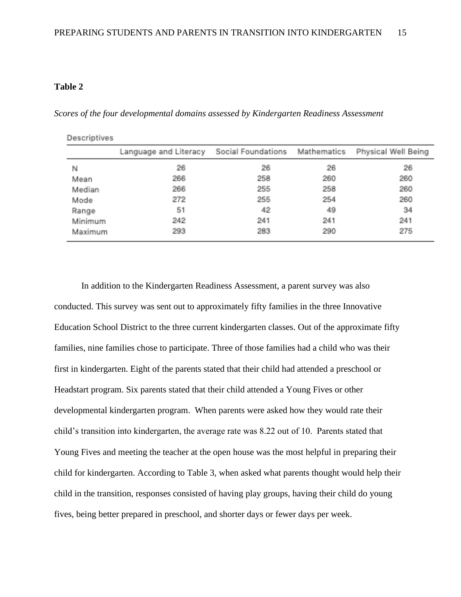*Scores of the four developmental domains assessed by Kindergarten Readiness Assessment*

| Descriptives |                       |                    |             |                     |
|--------------|-----------------------|--------------------|-------------|---------------------|
|              | Language and Literacy | Social Foundations | Mathematics | Physical Well Being |
| Ν            | 26                    | 26                 | 26          | 26                  |
| Mean         | 266                   | 258                | 260         | 260                 |
| Median       | 266                   | 255                | 258         | 260                 |
| Mode         | 272                   | 255                | 254         | 260                 |
| Range        | 51                    | 42                 | 49          | 34                  |
| Minimum.     | 242                   | 241                | 241         | 241                 |
| Maximum      | 293                   | 283                | 290         | 275                 |

In addition to the Kindergarten Readiness Assessment, a parent survey was also conducted. This survey was sent out to approximately fifty families in the three Innovative Education School District to the three current kindergarten classes. Out of the approximate fifty families, nine families chose to participate. Three of those families had a child who was their first in kindergarten. Eight of the parents stated that their child had attended a preschool or Headstart program. Six parents stated that their child attended a Young Fives or other developmental kindergarten program. When parents were asked how they would rate their child's transition into kindergarten, the average rate was 8.22 out of 10. Parents stated that Young Fives and meeting the teacher at the open house was the most helpful in preparing their child for kindergarten. According to Table 3, when asked what parents thought would help their child in the transition, responses consisted of having play groups, having their child do young fives, being better prepared in preschool, and shorter days or fewer days per week.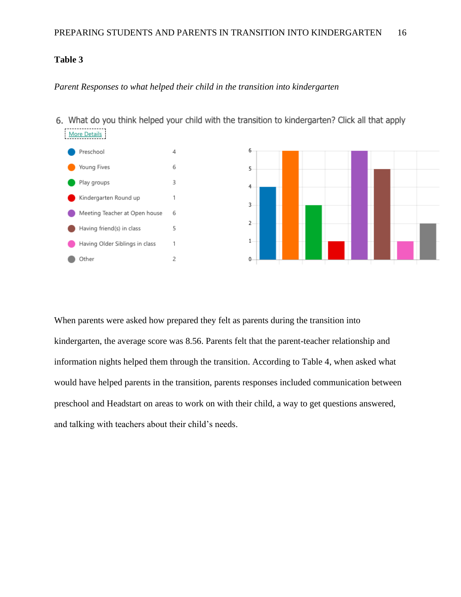# *Parent Responses to what helped their child in the transition into kindergarten*

6. What do you think helped your child with the transition to kindergarten? Click all that apply More Details



When parents were asked how prepared they felt as parents during the transition into kindergarten, the average score was 8.56. Parents felt that the parent-teacher relationship and information nights helped them through the transition. According to Table 4, when asked what would have helped parents in the transition, parents responses included communication between preschool and Headstart on areas to work on with their child, a way to get questions answered, and talking with teachers about their child's needs.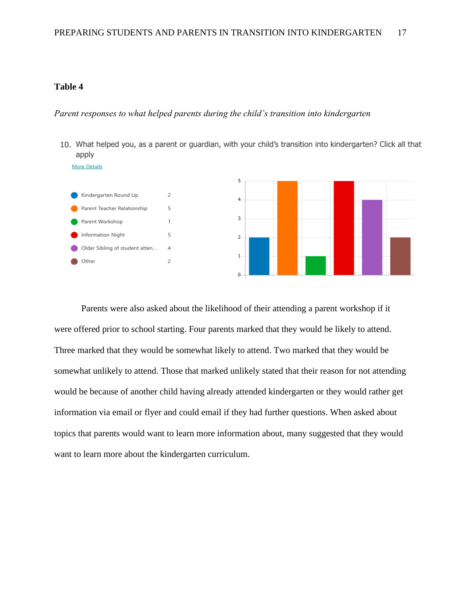### *Parent responses to what helped parents during the child's transition into kindergarten*

10. What helped you, as a parent or guardian, with your child's transition into kindergarten? Click all that apply



 $\varDelta$ 

 $\overline{c}$ 

Older Sibling of student atten...

Other



Parents were also asked about the likelihood of their attending a parent workshop if it were offered prior to school starting. Four parents marked that they would be likely to attend. Three marked that they would be somewhat likely to attend. Two marked that they would be somewhat unlikely to attend. Those that marked unlikely stated that their reason for not attending would be because of another child having already attended kindergarten or they would rather get information via email or flyer and could email if they had further questions. When asked about topics that parents would want to learn more information about, many suggested that they would want to learn more about the kindergarten curriculum.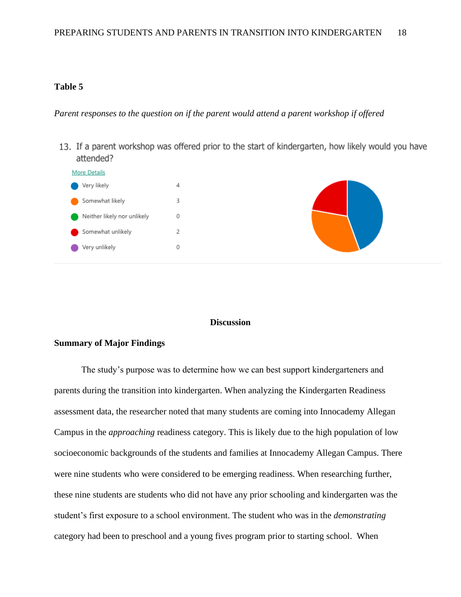*Parent responses to the question on if the parent would attend a parent workshop if offered*

13. If a parent workshop was offered prior to the start of kindergarten, how likely would you have attended?



#### **Discussion**

#### **Summary of Major Findings**

The study's purpose was to determine how we can best support kindergarteners and parents during the transition into kindergarten. When analyzing the Kindergarten Readiness assessment data, the researcher noted that many students are coming into Innocademy Allegan Campus in the *approaching* readiness category. This is likely due to the high population of low socioeconomic backgrounds of the students and families at Innocademy Allegan Campus. There were nine students who were considered to be emerging readiness. When researching further, these nine students are students who did not have any prior schooling and kindergarten was the student's first exposure to a school environment. The student who was in the *demonstrating*  category had been to preschool and a young fives program prior to starting school. When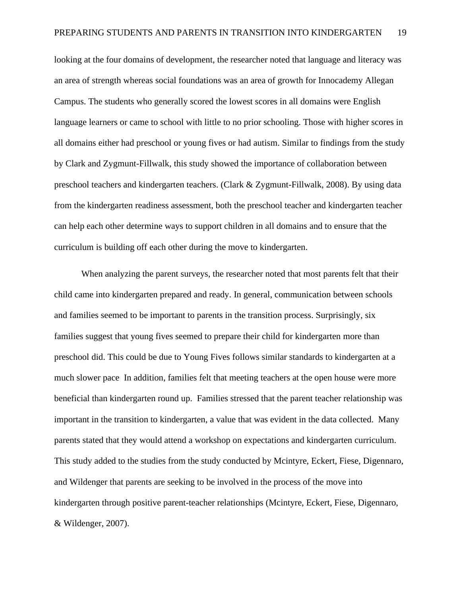looking at the four domains of development, the researcher noted that language and literacy was an area of strength whereas social foundations was an area of growth for Innocademy Allegan Campus. The students who generally scored the lowest scores in all domains were English language learners or came to school with little to no prior schooling. Those with higher scores in all domains either had preschool or young fives or had autism. Similar to findings from the study by Clark and Zygmunt-Fillwalk, this study showed the importance of collaboration between preschool teachers and kindergarten teachers. (Clark & Zygmunt-Fillwalk, 2008). By using data from the kindergarten readiness assessment, both the preschool teacher and kindergarten teacher can help each other determine ways to support children in all domains and to ensure that the curriculum is building off each other during the move to kindergarten.

When analyzing the parent surveys, the researcher noted that most parents felt that their child came into kindergarten prepared and ready. In general, communication between schools and families seemed to be important to parents in the transition process. Surprisingly, six families suggest that young fives seemed to prepare their child for kindergarten more than preschool did. This could be due to Young Fives follows similar standards to kindergarten at a much slower pace In addition, families felt that meeting teachers at the open house were more beneficial than kindergarten round up. Families stressed that the parent teacher relationship was important in the transition to kindergarten, a value that was evident in the data collected. Many parents stated that they would attend a workshop on expectations and kindergarten curriculum. This study added to the studies from the study conducted by Mcintyre, Eckert, Fiese, Digennaro, and Wildenger that parents are seeking to be involved in the process of the move into kindergarten through positive parent-teacher relationships (Mcintyre, Eckert, Fiese, Digennaro, & Wildenger, 2007).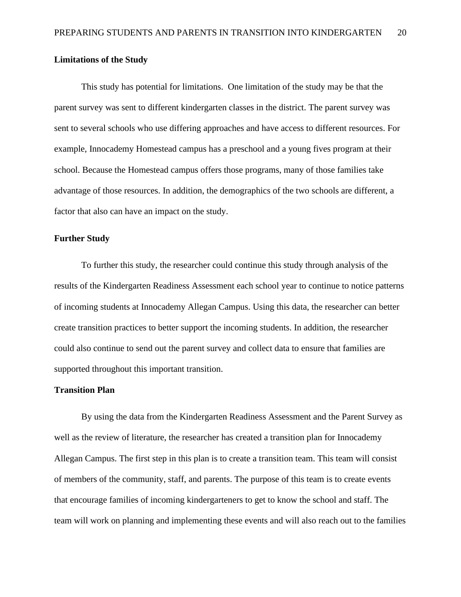# **Limitations of the Study**

This study has potential for limitations. One limitation of the study may be that the parent survey was sent to different kindergarten classes in the district. The parent survey was sent to several schools who use differing approaches and have access to different resources. For example, Innocademy Homestead campus has a preschool and a young fives program at their school. Because the Homestead campus offers those programs, many of those families take advantage of those resources. In addition, the demographics of the two schools are different, a factor that also can have an impact on the study.

#### **Further Study**

To further this study, the researcher could continue this study through analysis of the results of the Kindergarten Readiness Assessment each school year to continue to notice patterns of incoming students at Innocademy Allegan Campus. Using this data, the researcher can better create transition practices to better support the incoming students. In addition, the researcher could also continue to send out the parent survey and collect data to ensure that families are supported throughout this important transition.

# **Transition Plan**

By using the data from the Kindergarten Readiness Assessment and the Parent Survey as well as the review of literature, the researcher has created a transition plan for Innocademy Allegan Campus. The first step in this plan is to create a transition team. This team will consist of members of the community, staff, and parents. The purpose of this team is to create events that encourage families of incoming kindergarteners to get to know the school and staff. The team will work on planning and implementing these events and will also reach out to the families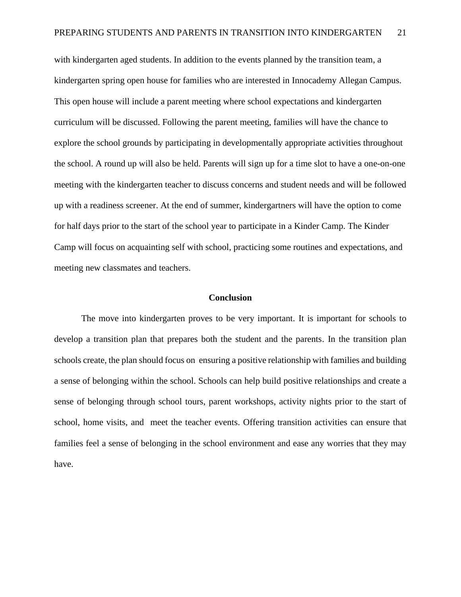with kindergarten aged students. In addition to the events planned by the transition team, a kindergarten spring open house for families who are interested in Innocademy Allegan Campus. This open house will include a parent meeting where school expectations and kindergarten curriculum will be discussed. Following the parent meeting, families will have the chance to explore the school grounds by participating in developmentally appropriate activities throughout the school. A round up will also be held. Parents will sign up for a time slot to have a one-on-one meeting with the kindergarten teacher to discuss concerns and student needs and will be followed up with a readiness screener. At the end of summer, kindergartners will have the option to come for half days prior to the start of the school year to participate in a Kinder Camp. The Kinder Camp will focus on acquainting self with school, practicing some routines and expectations, and meeting new classmates and teachers.

#### **Conclusion**

The move into kindergarten proves to be very important. It is important for schools to develop a transition plan that prepares both the student and the parents. In the transition plan schools create, the plan should focus on ensuring a positive relationship with families and building a sense of belonging within the school. Schools can help build positive relationships and create a sense of belonging through school tours, parent workshops, activity nights prior to the start of school, home visits, and meet the teacher events. Offering transition activities can ensure that families feel a sense of belonging in the school environment and ease any worries that they may have.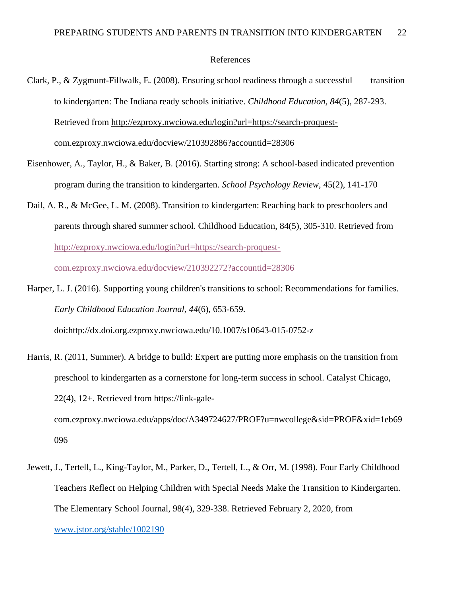#### References

- Clark, P., & Zygmunt-Fillwalk, E. (2008). Ensuring school readiness through a successful transition to kindergarten: The Indiana ready schools initiative. *Childhood Education, 84*(5), 287-293. Retrieved from [http://ezproxy.nwciowa.edu/login?url=https://search-proquest](http://ezproxy.nwciowa.edu/login?url=https://search-proquest-com.ezproxy.nwciowa.edu/docview/210392886?accountid=28306)[com.ezproxy.nwciowa.edu/docview/210392886?accountid=28306](http://ezproxy.nwciowa.edu/login?url=https://search-proquest-com.ezproxy.nwciowa.edu/docview/210392886?accountid=28306)
- Eisenhower, A., Taylor, H., & Baker, B. (2016). Starting strong: A school-based indicated prevention program during the transition to kindergarten. *School Psychology Review*, 45(2), 141-170
- Dail, A. R., & McGee, L. M. (2008). Transition to kindergarten: Reaching back to preschoolers and parents through shared summer school. Childhood Education, 84(5), 305-310. Retrieved fro[m](http://ezproxy.nwciowa.edu/login?url=https://search-proquest-com.ezproxy.nwciowa.edu/docview/210392272?accountid=28306) [http://ezproxy.nwciowa.edu/login?url=https://search-proquest](http://ezproxy.nwciowa.edu/login?url=https://search-proquest-com.ezproxy.nwciowa.edu/docview/210392272?accountid=28306)[com.ezproxy.nwciowa.edu/docview/210392272?accountid=28306](http://ezproxy.nwciowa.edu/login?url=https://search-proquest-com.ezproxy.nwciowa.edu/docview/210392272?accountid=28306)
- Harper, L. J. (2016). Supporting young children's transitions to school: Recommendations for families. *Early Childhood Education Journal, 44*(6), 653-659. doi:http://dx.doi.org.ezproxy.nwciowa.edu/10.1007/s10643-015-0752-z
- Harris, R. (2011, Summer). A bridge to build: Expert are putting more emphasis on the transition from preschool to kindergarten as a cornerstone for long-term success in school. Catalyst Chicago, 22(4), 12+. Retrieved from https://link-galecom.ezproxy.nwciowa.edu/apps/doc/A349724627/PROF?u=nwcollege&sid=PROF&xid=1eb69 096
- Jewett, J., Tertell, L., King-Taylor, M., Parker, D., Tertell, L., & Orr, M. (1998). Four Early Childhood Teachers Reflect on Helping Children with Special Needs Make the Transition to Kindergarten. The Elementary School Journal, 98(4), 329-338. Retrieved February 2, 2020, from [www.jstor.org/stable/1002190](http://www.jstor.org/stable/1002190)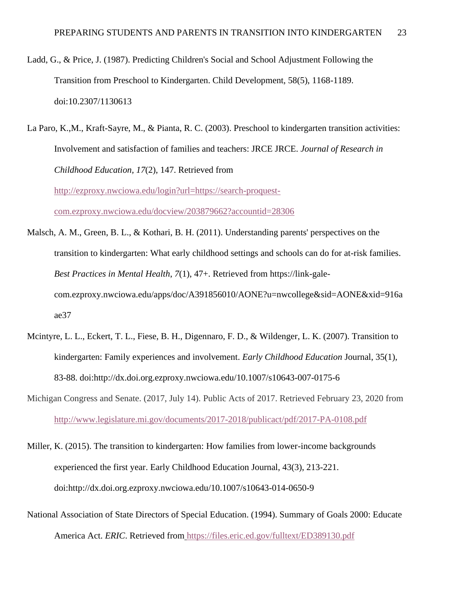- Ladd, G., & Price, J. (1987). Predicting Children's Social and School Adjustment Following the Transition from Preschool to Kindergarten. Child Development, 58(5), 1168-1189. doi:10.2307/1130613
- La Paro, K.,M., Kraft-Sayre, M., & Pianta, R. C. (2003). Preschool to kindergarten transition activities: Involvement and satisfaction of families and teachers: JRCE JRCE. *Journal of Research in Childhood Education, 17*(2), 147. Retrieved fro[m](http://ezproxy.nwciowa.edu/login?url=https://search-proquest-com.ezproxy.nwciowa.edu/docview/203879662?accountid=28306) [http://ezproxy.nwciowa.edu/login?url=https://search-proquest](http://ezproxy.nwciowa.edu/login?url=https://search-proquest-com.ezproxy.nwciowa.edu/docview/203879662?accountid=28306)[com.ezproxy.nwciowa.edu/docview/203879662?accountid=28306](http://ezproxy.nwciowa.edu/login?url=https://search-proquest-com.ezproxy.nwciowa.edu/docview/203879662?accountid=28306)
- Malsch, A. M., Green, B. L., & Kothari, B. H. (2011). Understanding parents' perspectives on the transition to kindergarten: What early childhood settings and schools can do for at-risk families. *Best Practices in Mental Health*, *7*(1), 47+. Retrieved from https://link-galecom.ezproxy.nwciowa.edu/apps/doc/A391856010/AONE?u=nwcollege&sid=AONE&xid=916a ae37
- Mcintyre, L. L., Eckert, T. L., Fiese, B. H., Digennaro, F. D., & Wildenger, L. K. (2007). Transition to kindergarten: Family experiences and involvement. *Early Childhood Education* Journal, 35(1), 83-88. doi:http://dx.doi.org.ezproxy.nwciowa.edu/10.1007/s10643-007-0175-6
- Michigan Congress and Senate. (2017, July 14). Public Acts of 2017. Retrieved February 23, 2020 fro[m](http://www.legislature.mi.gov/documents/2017-2018/publicact/pdf/2017-PA-0108.pdf) <http://www.legislature.mi.gov/documents/2017-2018/publicact/pdf/2017-PA-0108.pdf>
- Miller, K. (2015). The transition to kindergarten: How families from lower-income backgrounds experienced the first year. Early Childhood Education Journal, 43(3), 213-221. doi:http://dx.doi.org.ezproxy.nwciowa.edu/10.1007/s10643-014-0650-9
- National Association of State Directors of Special Education. (1994). Summary of Goals 2000: Educate America Act. *ERIC*. Retrieved from <https://files.eric.ed.gov/fulltext/ED389130.pdf>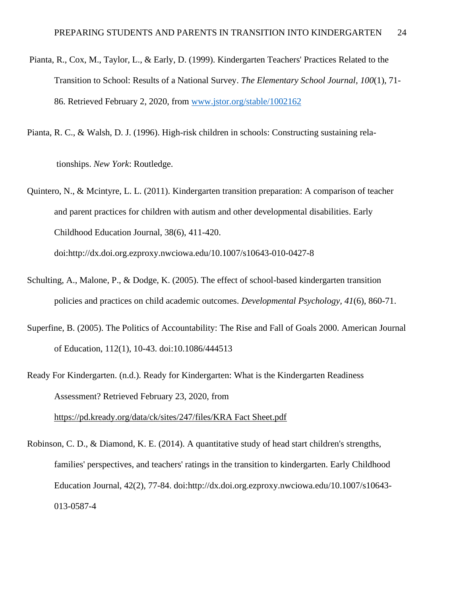- Pianta, R., Cox, M., Taylor, L., & Early, D. (1999). Kindergarten Teachers' Practices Related to the Transition to School: Results of a National Survey. *The Elementary School Journal, 100*(1), 71- 86. Retrieved February 2, 2020, from [www.jstor.org/stable/1002162](http://www.jstor.org/stable/1002162)
- Pianta, R. C., & Walsh, D. J. (1996). High-risk children in schools: Constructing sustaining rela-

tionships. *New York*: Routledge.

Quintero, N., & Mcintyre, L. L. (2011). Kindergarten transition preparation: A comparison of teacher and parent practices for children with autism and other developmental disabilities. Early Childhood Education Journal, 38(6), 411-420.

doi:http://dx.doi.org.ezproxy.nwciowa.edu/10.1007/s10643-010-0427-8

- Schulting, A., Malone, P., & Dodge, K. (2005). The effect of school-based kindergarten transition policies and practices on child academic outcomes. *Developmental Psychology, 41*(6), 860-71.
- Superfine, B. (2005). The Politics of Accountability: The Rise and Fall of Goals 2000. American Journal of Education, 112(1), 10-43. doi:10.1086/444513
- Ready For Kindergarten. (n.d.). Ready for Kindergarten: What is the Kindergarten Readiness Assessment? Retrieved February 23, 2020, fro[m](https://pd.kready.org/data/ck/sites/247/files/KRA%20Fact%20Sheet.pdf) [https://pd.kready.org/data/ck/sites/247/files/KRA Fact Sheet.pdf](https://pd.kready.org/data/ck/sites/247/files/KRA%20Fact%20Sheet.pdf)
- Robinson, C. D., & Diamond, K. E. (2014). A quantitative study of head start children's strengths, families' perspectives, and teachers' ratings in the transition to kindergarten. Early Childhood Education Journal, 42(2), 77-84. doi:http://dx.doi.org.ezproxy.nwciowa.edu/10.1007/s10643- 013-0587-4